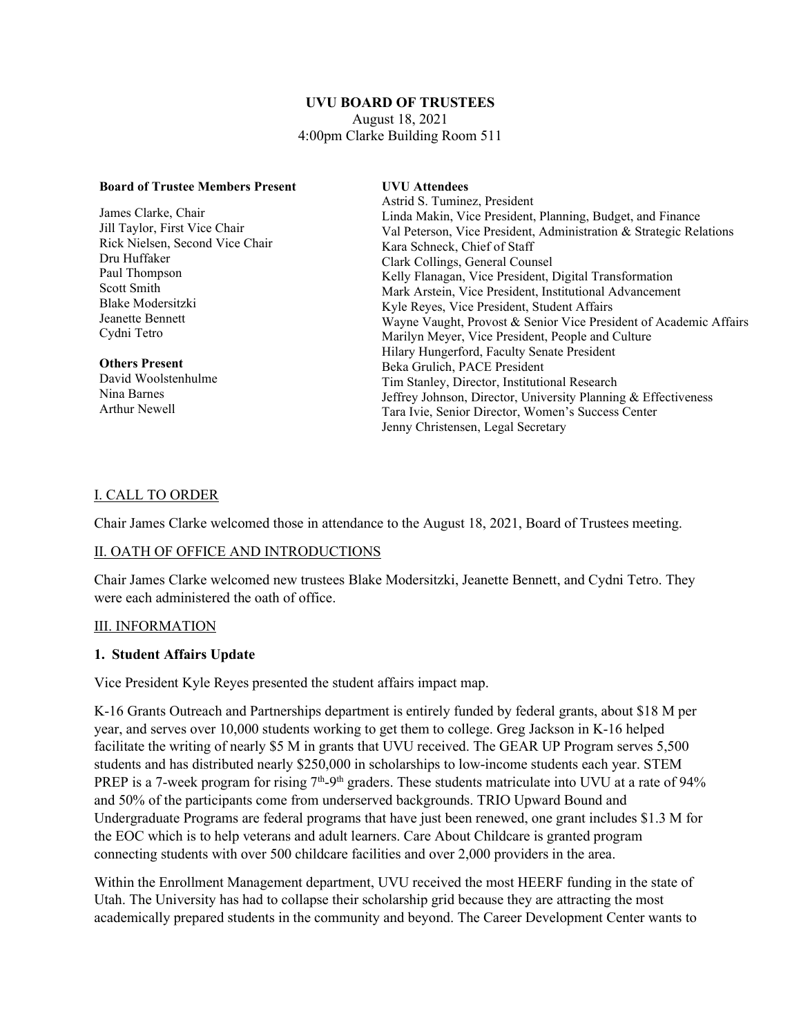#### **UVU BOARD OF TRUSTEES** August 18, 2021 4:00pm Clarke Building Room 511

| <b>Board of Trustee Members Present</b> | <b>UVU</b> Attendees                                               |
|-----------------------------------------|--------------------------------------------------------------------|
|                                         | Astrid S. Tuminez, President                                       |
| James Clarke, Chair                     | Linda Makin, Vice President, Planning, Budget, and Finance         |
| Jill Taylor, First Vice Chair           | Val Peterson, Vice President, Administration & Strategic Relations |
| Rick Nielsen, Second Vice Chair         | Kara Schneck, Chief of Staff                                       |
| Dru Huffaker                            | Clark Collings, General Counsel                                    |
| Paul Thompson                           | Kelly Flanagan, Vice President, Digital Transformation             |
| Scott Smith                             | Mark Arstein, Vice President, Institutional Advancement            |
| Blake Modersitzki                       | Kyle Reyes, Vice President, Student Affairs                        |
| Jeanette Bennett                        | Wayne Vaught, Provost & Senior Vice President of Academic Affairs  |
| Cydni Tetro                             | Marilyn Meyer, Vice President, People and Culture                  |
|                                         | Hilary Hungerford, Faculty Senate President                        |
| <b>Others Present</b>                   | Beka Grulich, PACE President                                       |
| David Woolstenhulme                     | Tim Stanley, Director, Institutional Research                      |
| Nina Barnes                             | Jeffrey Johnson, Director, University Planning & Effectiveness     |
| Arthur Newell                           | Tara Ivie, Senior Director, Women's Success Center                 |
|                                         | Jenny Christensen, Legal Secretary                                 |
|                                         |                                                                    |

#### I. CALL TO ORDER

Chair James Clarke welcomed those in attendance to the August 18, 2021, Board of Trustees meeting.

#### II. OATH OF OFFICE AND INTRODUCTIONS

Chair James Clarke welcomed new trustees Blake Modersitzki, Jeanette Bennett, and Cydni Tetro. They were each administered the oath of office.

#### III. INFORMATION

#### **1. Student Affairs Update**

Vice President Kyle Reyes presented the student affairs impact map.

K-16 Grants Outreach and Partnerships department is entirely funded by federal grants, about \$18 M per year, and serves over 10,000 students working to get them to college. Greg Jackson in K-16 helped facilitate the writing of nearly \$5 M in grants that UVU received. The GEAR UP Program serves 5,500 students and has distributed nearly \$250,000 in scholarships to low-income students each year. STEM PREP is a 7-week program for rising  $7<sup>th</sup>-9<sup>th</sup>$  graders. These students matriculate into UVU at a rate of 94% and 50% of the participants come from underserved backgrounds. TRIO Upward Bound and Undergraduate Programs are federal programs that have just been renewed, one grant includes \$1.3 M for the EOC which is to help veterans and adult learners. Care About Childcare is granted program connecting students with over 500 childcare facilities and over 2,000 providers in the area.

Within the Enrollment Management department, UVU received the most HEERF funding in the state of Utah. The University has had to collapse their scholarship grid because they are attracting the most academically prepared students in the community and beyond. The Career Development Center wants to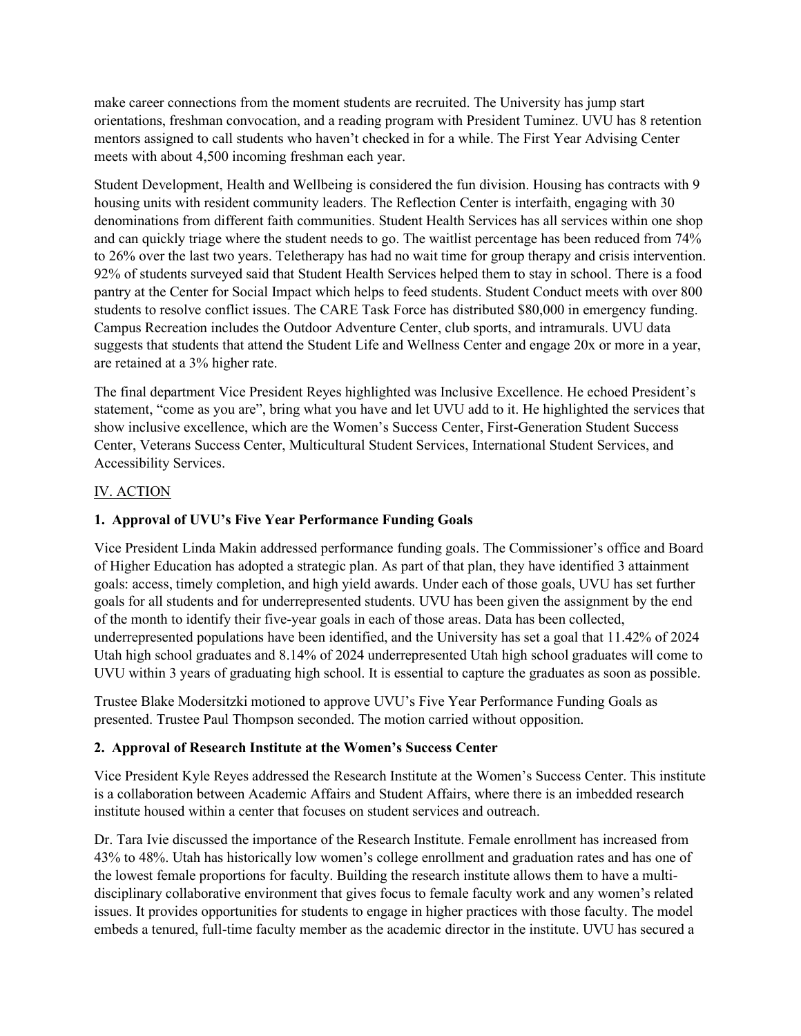make career connections from the moment students are recruited. The University has jump start orientations, freshman convocation, and a reading program with President Tuminez. UVU has 8 retention mentors assigned to call students who haven't checked in for a while. The First Year Advising Center meets with about 4,500 incoming freshman each year.

Student Development, Health and Wellbeing is considered the fun division. Housing has contracts with 9 housing units with resident community leaders. The Reflection Center is interfaith, engaging with 30 denominations from different faith communities. Student Health Services has all services within one shop and can quickly triage where the student needs to go. The waitlist percentage has been reduced from 74% to 26% over the last two years. Teletherapy has had no wait time for group therapy and crisis intervention. 92% of students surveyed said that Student Health Services helped them to stay in school. There is a food pantry at the Center for Social Impact which helps to feed students. Student Conduct meets with over 800 students to resolve conflict issues. The CARE Task Force has distributed \$80,000 in emergency funding. Campus Recreation includes the Outdoor Adventure Center, club sports, and intramurals. UVU data suggests that students that attend the Student Life and Wellness Center and engage 20x or more in a year, are retained at a 3% higher rate.

The final department Vice President Reyes highlighted was Inclusive Excellence. He echoed President's statement, "come as you are", bring what you have and let UVU add to it. He highlighted the services that show inclusive excellence, which are the Women's Success Center, First-Generation Student Success Center, Veterans Success Center, Multicultural Student Services, International Student Services, and Accessibility Services.

# IV. ACTION

## **1. Approval of UVU's Five Year Performance Funding Goals**

Vice President Linda Makin addressed performance funding goals. The Commissioner's office and Board of Higher Education has adopted a strategic plan. As part of that plan, they have identified 3 attainment goals: access, timely completion, and high yield awards. Under each of those goals, UVU has set further goals for all students and for underrepresented students. UVU has been given the assignment by the end of the month to identify their five-year goals in each of those areas. Data has been collected, underrepresented populations have been identified, and the University has set a goal that 11.42% of 2024 Utah high school graduates and 8.14% of 2024 underrepresented Utah high school graduates will come to UVU within 3 years of graduating high school. It is essential to capture the graduates as soon as possible.

Trustee Blake Modersitzki motioned to approve UVU's Five Year Performance Funding Goals as presented. Trustee Paul Thompson seconded. The motion carried without opposition.

#### **2. Approval of Research Institute at the Women's Success Center**

Vice President Kyle Reyes addressed the Research Institute at the Women's Success Center. This institute is a collaboration between Academic Affairs and Student Affairs, where there is an imbedded research institute housed within a center that focuses on student services and outreach.

Dr. Tara Ivie discussed the importance of the Research Institute. Female enrollment has increased from 43% to 48%. Utah has historically low women's college enrollment and graduation rates and has one of the lowest female proportions for faculty. Building the research institute allows them to have a multidisciplinary collaborative environment that gives focus to female faculty work and any women's related issues. It provides opportunities for students to engage in higher practices with those faculty. The model embeds a tenured, full-time faculty member as the academic director in the institute. UVU has secured a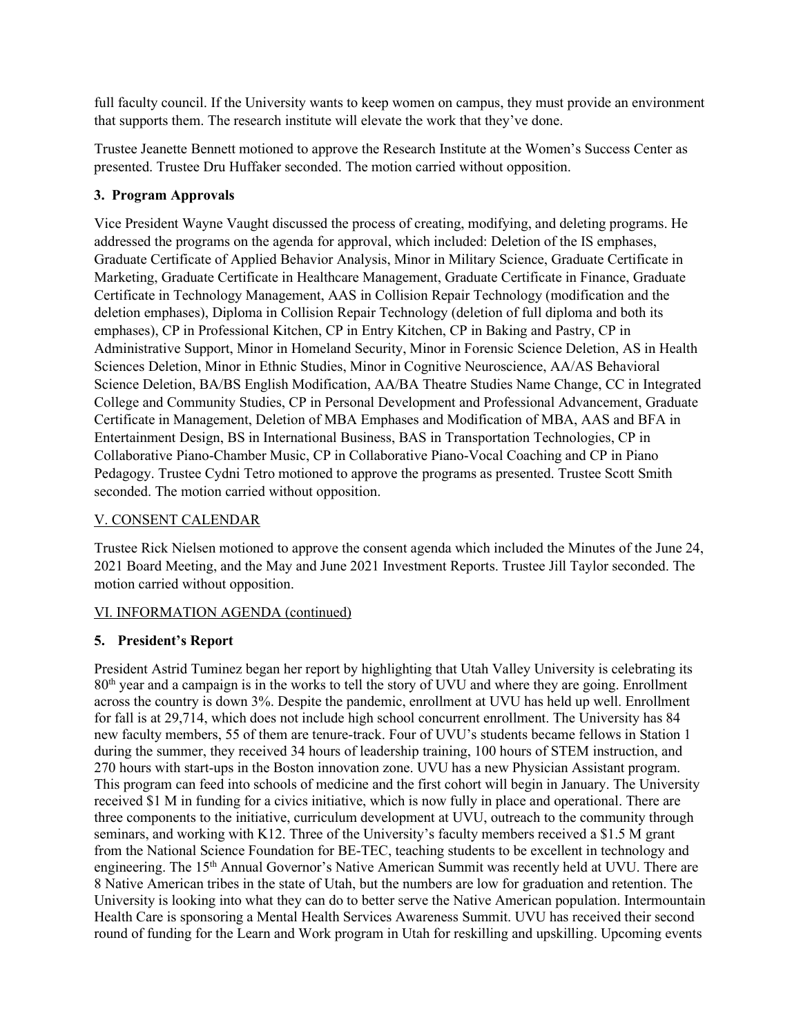full faculty council. If the University wants to keep women on campus, they must provide an environment that supports them. The research institute will elevate the work that they've done.

Trustee Jeanette Bennett motioned to approve the Research Institute at the Women's Success Center as presented. Trustee Dru Huffaker seconded. The motion carried without opposition.

# **3. Program Approvals**

Vice President Wayne Vaught discussed the process of creating, modifying, and deleting programs. He addressed the programs on the agenda for approval, which included: Deletion of the IS emphases, Graduate Certificate of Applied Behavior Analysis, Minor in Military Science, Graduate Certificate in Marketing, Graduate Certificate in Healthcare Management, Graduate Certificate in Finance, Graduate Certificate in Technology Management, AAS in Collision Repair Technology (modification and the deletion emphases), Diploma in Collision Repair Technology (deletion of full diploma and both its emphases), CP in Professional Kitchen, CP in Entry Kitchen, CP in Baking and Pastry, CP in Administrative Support, Minor in Homeland Security, Minor in Forensic Science Deletion, AS in Health Sciences Deletion, Minor in Ethnic Studies, Minor in Cognitive Neuroscience, AA/AS Behavioral Science Deletion, BA/BS English Modification, AA/BA Theatre Studies Name Change, CC in Integrated College and Community Studies, CP in Personal Development and Professional Advancement, Graduate Certificate in Management, Deletion of MBA Emphases and Modification of MBA, AAS and BFA in Entertainment Design, BS in International Business, BAS in Transportation Technologies, CP in Collaborative Piano-Chamber Music, CP in Collaborative Piano-Vocal Coaching and CP in Piano Pedagogy. Trustee Cydni Tetro motioned to approve the programs as presented. Trustee Scott Smith seconded. The motion carried without opposition.

# V. CONSENT CALENDAR

Trustee Rick Nielsen motioned to approve the consent agenda which included the Minutes of the June 24, 2021 Board Meeting, and the May and June 2021 Investment Reports. Trustee Jill Taylor seconded. The motion carried without opposition.

# VI. INFORMATION AGENDA (continued)

# **5. President's Report**

President Astrid Tuminez began her report by highlighting that Utah Valley University is celebrating its 80th year and a campaign is in the works to tell the story of UVU and where they are going. Enrollment across the country is down 3%. Despite the pandemic, enrollment at UVU has held up well. Enrollment for fall is at 29,714, which does not include high school concurrent enrollment. The University has 84 new faculty members, 55 of them are tenure-track. Four of UVU's students became fellows in Station 1 during the summer, they received 34 hours of leadership training, 100 hours of STEM instruction, and 270 hours with start-ups in the Boston innovation zone. UVU has a new Physician Assistant program. This program can feed into schools of medicine and the first cohort will begin in January. The University received \$1 M in funding for a civics initiative, which is now fully in place and operational. There are three components to the initiative, curriculum development at UVU, outreach to the community through seminars, and working with K12. Three of the University's faculty members received a \$1.5 M grant from the National Science Foundation for BE-TEC, teaching students to be excellent in technology and engineering. The 15<sup>th</sup> Annual Governor's Native American Summit was recently held at UVU. There are 8 Native American tribes in the state of Utah, but the numbers are low for graduation and retention. The University is looking into what they can do to better serve the Native American population. Intermountain Health Care is sponsoring a Mental Health Services Awareness Summit. UVU has received their second round of funding for the Learn and Work program in Utah for reskilling and upskilling. Upcoming events